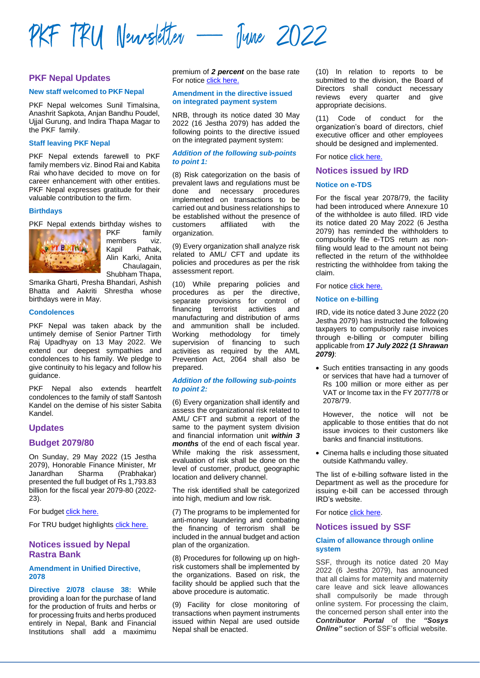

# **PKF Nepal Updates**

#### **New staff welcomed to PKF Nepal**

PKF Nepal welcomes Sunil Timalsina. Anashrit Sapkota, Anjan Bandhu Poudel, Ujjal Gurung, and Indira Thapa Magar to the PKF family.

### **Staff leaving PKF Nepal**

PKF Nepal extends farewell to PKF family members viz. Binod Rai and Kabita Rai who have decided to move on for career enhancement with other entities. PKF Nepal expresses gratitude for their valuable contribution to the firm.

#### **Birthdays**

PKF Nepal extends birthday wishes to



PKF family members viz. Kapil Pathak, Alin Karki, Anita Chaulagain, Shubham Thapa,

Smarika Gharti, Presha Bhandari, Ashish Bhatta and Aakriti Shrestha whose birthdays were in May.

## **Condolences**

PKF Nepal was taken aback by the untimely demise of Senior Partner Tirth Raj Upadhyay on 13 May 2022. We extend our deepest sympathies and condolences to his family. We pledge to give continuity to his legacy and follow his guidance.

PKF Nepal also extends heartfelt condolences to the family of staff Santosh Kandel on the demise of his sister Sabita Kandel.

## **Updates**

## **Budget 2079/80**

On Sunday, 29 May 2022 (15 Jestha 2079), Honorable Finance Minister, Mr<br>Janardhan Sharma (Prabhakar) Janardhan Sharma (Prabhakar) presented the full budget of Rs 1,793.83 billion for the fiscal year 2079-80 (2022- 23).

For budget [click here.](https://ird.gov.np/public/pdf/42442225.pdf)

For TRU budget highlights [click here.](https://pkf.trunco.com.np/uploads/publication/file/PKF_%20TRU%20Budget%20Highlights%202079-80_20220531064017.pdf)

# **Notices issued by Nepal Rastra Bank**

# **Amendment in Unified Directive, 2078**

**Directive 2/078 clause 38:** While providing a loan for the purchase of land for the production of fruits and herbs or for processing fruits and herbs produced entirely in Nepal, Bank and Financial Institutions shall add a maximimu premium of *2 percent* on the base rate For notic[e click here.](https://www.nrb.org.np/contents/uploads/2022/05/ABC-Circular-no-11.pdf)

#### **Amendment in the directive issued on integrated payment system**

NRB, through its notice dated 30 May 2022 (16 Jestha 2079) has added the following points to the directive issued on the integrated payment system:

#### *Addition of the following sub-points to point 1:*

(8) Risk categorization on the basis of prevalent laws and regulations must be done and necessary procedures implemented on transactions to be carried out and business relationships to be established without the presence of customers affiliated with the organization.

(9) Every organization shall analyze risk related to AML/ CFT and update its policies and procedures as per the risk assessment report.

(10) While preparing policies and procedures as per the directive, separate provisions for control of financing terrorist activities and manufacturing and distribution of arms and ammunition shall be included.<br>Working methodology for timely Working methodology supervision of financing to such activities as required by the AML Prevention Act, 2064 shall also be prepared.

#### *Addition of the following sub-points to point 2:*

(6) Every organization shall identify and assess the organizational risk related to AML/ CFT and submit a report of the same to the payment system division and financial information unit *within 3 months* of the end of each fiscal year. While making the risk assessment, evaluation of risk shall be done on the level of customer, product, geographic location and delivery channel.

The risk identified shall be categorized into high, medium and low risk.

(7) The programs to be implemented for anti-money laundering and combating the financing of terrorism shall be included in the annual budget and action plan of the organization.

(8) Procedures for following up on highrisk customers shall be implemented by the organizations. Based on risk, the facility should be applied such that the above procedure is automatic.

(9) Facility for close monitoring of transactions when payment instruments issued within Nepal are used outside Nepal shall be enacted.

(10) In relation to reports to be submitted to the division, the Board of Directors shall conduct necessary reviews every quarter and give appropriate decisions.

(11) Code of conduct for the organization's board of directors, chief executive officer and other employees should be designed and implemented.

For notice [click here.](https://www.nrb.org.np/contents/uploads/2022/05/%E0%A4%AD%E0%A5%81%E0%A4%95%E0%A5%8D%E0%A4%A4%E0%A4%BE%E0%A4%A8%E0%A5%80-%E0%A4%AA%E0%A5%8D%E0%A4%B0%E0%A4%A3%E0%A4%BE%E0%A4%B2%E0%A5%80-%E0%A4%B8%E0%A4%AE%E0%A5%8D%E0%A4%AC%E0%A4%A8%E0%A5%8D%E0%A4%A7%E0%A5%80-%E0%A4%8F%E0%A4%95%E0%A5%80%E0%A4%95%E0%A5%83%E0%A4%A4-%E0%A4%A8%E0%A4%BF%E0%A4%B0%E0%A5%8D%E0%A4%A6%E0%A5%87%E0%A4%B6%E0%A4%A8-%E0%A5%A8%E0%A5%A6%E0%A5%AD%E0%A5%AE-%E0%A4%AE%E0%A4%BE-%E0%A4%B8%E0%A4%82%E0%A4%B6%E0%A5%8B%E0%A4%A7%E0%A4%A8-%E0%A4%A4%E0%A4%A5%E0%A4%BE-%E0%A4%A5%E0%A4%AA-%E0%A4%97%E0%A4%B0%E0%A4%BF%E0%A4%8F%E0%A4%95%E0%A5%8B-%E0%A4%B8%E0%A4%AE%E0%A5%8D%E0%A4%AC%E0%A4%A8%E0%A5%8D%E0%A4%A7%E0%A4%AE%E0%A4%BE-%E0%A5%A4.pdf)

### **Notices issued by IRD**

### **Notice on e-TDS**

For the fiscal year 2078/79, the facility had been introduced where Annexure 10 of the withholdee is auto filled. IRD vide its notice dated 20 May 2022 (6 Jestha 2079) has reminded the withholders to compulsorily file e-TDS return as nonfiling would lead to the amount not being reflected in the return of the withholdee restricting the withholdee from taking the claim.

For notice [click here.](https://ird.gov.np/public/pdf/1285450062.pdf)

### **Notice on e-billing**

IRD, vide its notice dated 3 June 2022 (20 Jestha 2079) has instructed the following taxpayers to compulsorily raise invoices through e-billing or computer billing applicable from *17 July 2022 (1 Shrawan 2079)*:

• Such entities transacting in any goods or services that have had a turnover of Rs 100 million or more either as per VAT or Income tax in the FY 2077/78 or 2078/79.

However, the notice will not be applicable to those entities that do not issue invoices to their customers like banks and financial institutions.

• Cinema halls e including those situated outside Kathmandu valley.

The list of e-billing software listed in the Department as well as the procedure for issuing e-bill can be accessed through IRD's website.

For notice [click here.](https://ird.gov.np/public/pdf/640869805.pdf)

### **Notices issued by SSF**

## **Claim of allowance through online system**

SSF, through its notice dated 20 May 2022 (6 Jestha 2079), has announced that all claims for maternity and maternity care leave and sick leave allowances shall compulsorily be made through online system. For processing the claim, the concerned person shall enter into the *Contributor Portal* of the *"Sosys Online"* section of SSF's official website.